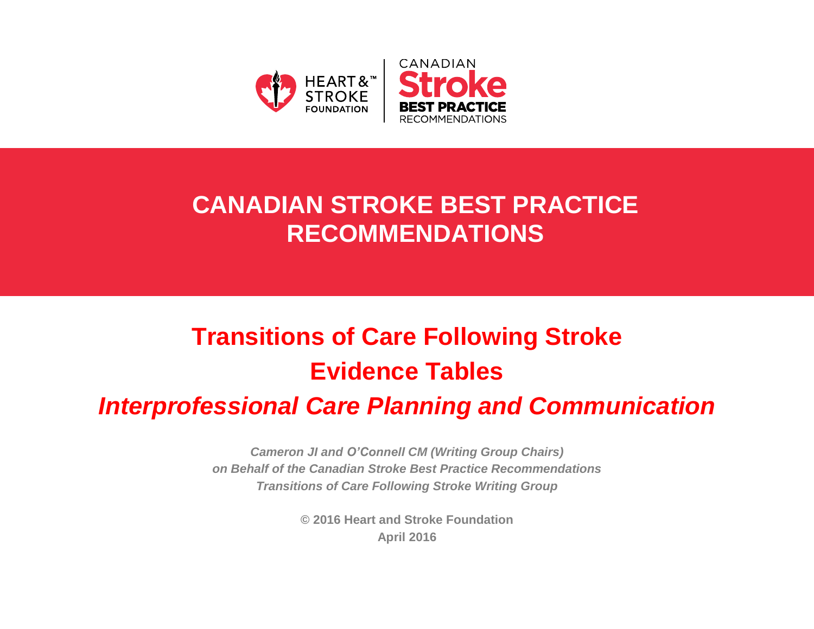

## **CANADIAN STROKE BEST PRACTICE RECOMMENDATIONS**

# **Transitions of Care Following Stroke Evidence Tables**

## *Interprofessional Care Planning and Communication*

*Cameron JI and O'Connell CM (Writing Group Chairs) on Behalf of the Canadian Stroke Best Practice Recommendations Transitions of Care Following Stroke Writing Group*

> **© 2016 Heart and Stroke Foundation April 2016**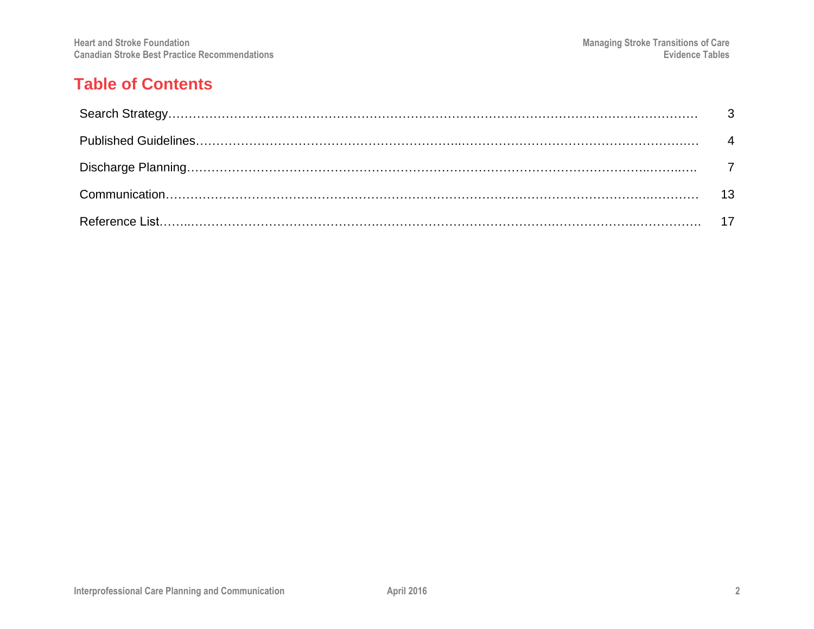#### **Table of Contents**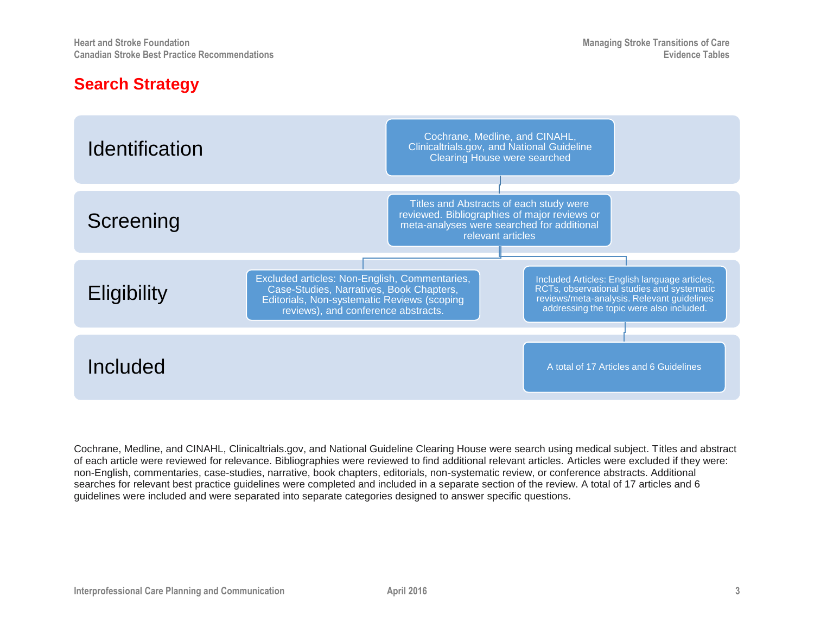#### **Search Strategy**



Cochrane, Medline, and CINAHL, Clinicaltrials.gov, and National Guideline Clearing House were search using medical subject. Titles and abstract of each article were reviewed for relevance. Bibliographies were reviewed to find additional relevant articles. Articles were excluded if they were: non-English, commentaries, case-studies, narrative, book chapters, editorials, non-systematic review, or conference abstracts. Additional searches for relevant best practice guidelines were completed and included in a separate section of the review. A total of 17 articles and 6 guidelines were included and were separated into separate categories designed to answer specific questions.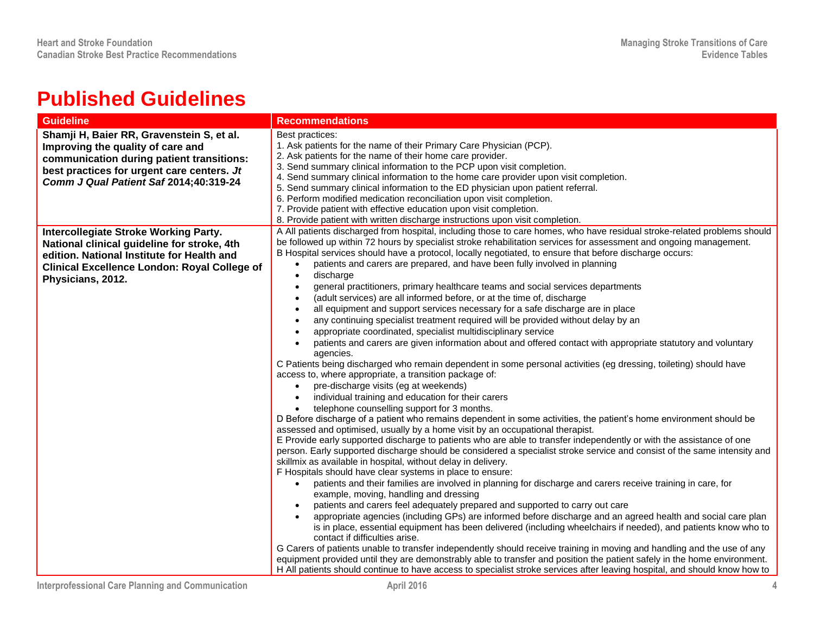## **Published Guidelines**

| <b>Guideline</b>                                                                                                                                                                                                    | <b>Recommendations</b>                                                                                                                                                                                                                                                                                                                                                                                                                                                                                                                                                                                                                                                                                                                                                                                                                                                                                                                                                                     |
|---------------------------------------------------------------------------------------------------------------------------------------------------------------------------------------------------------------------|--------------------------------------------------------------------------------------------------------------------------------------------------------------------------------------------------------------------------------------------------------------------------------------------------------------------------------------------------------------------------------------------------------------------------------------------------------------------------------------------------------------------------------------------------------------------------------------------------------------------------------------------------------------------------------------------------------------------------------------------------------------------------------------------------------------------------------------------------------------------------------------------------------------------------------------------------------------------------------------------|
| Shamji H, Baier RR, Gravenstein S, et al.<br>Improving the quality of care and<br>communication during patient transitions:<br>best practices for urgent care centers. Jt<br>Comm J Qual Patient Saf 2014;40:319-24 | Best practices:<br>1. Ask patients for the name of their Primary Care Physician (PCP).<br>2. Ask patients for the name of their home care provider.<br>3. Send summary clinical information to the PCP upon visit completion.<br>4. Send summary clinical information to the home care provider upon visit completion.<br>5. Send summary clinical information to the ED physician upon patient referral.<br>6. Perform modified medication reconciliation upon visit completion.<br>7. Provide patient with effective education upon visit completion.                                                                                                                                                                                                                                                                                                                                                                                                                                    |
| <b>Intercollegiate Stroke Working Party.</b>                                                                                                                                                                        | 8. Provide patient with written discharge instructions upon visit completion.<br>A All patients discharged from hospital, including those to care homes, who have residual stroke-related problems should                                                                                                                                                                                                                                                                                                                                                                                                                                                                                                                                                                                                                                                                                                                                                                                  |
| National clinical guideline for stroke, 4th<br>edition. National Institute for Health and<br><b>Clinical Excellence London: Royal College of</b><br>Physicians, 2012.                                               | be followed up within 72 hours by specialist stroke rehabilitation services for assessment and ongoing management.<br>B Hospital services should have a protocol, locally negotiated, to ensure that before discharge occurs:<br>patients and carers are prepared, and have been fully involved in planning<br>$\bullet$<br>discharge<br>$\bullet$<br>general practitioners, primary healthcare teams and social services departments<br>$\bullet$                                                                                                                                                                                                                                                                                                                                                                                                                                                                                                                                         |
|                                                                                                                                                                                                                     | (adult services) are all informed before, or at the time of, discharge<br>$\bullet$<br>all equipment and support services necessary for a safe discharge are in place<br>$\bullet$<br>any continuing specialist treatment required will be provided without delay by an<br>$\bullet$<br>appropriate coordinated, specialist multidisciplinary service<br>$\bullet$<br>patients and carers are given information about and offered contact with appropriate statutory and voluntary<br>agencies.<br>C Patients being discharged who remain dependent in some personal activities (eg dressing, toileting) should have<br>access to, where appropriate, a transition package of:<br>pre-discharge visits (eg at weekends)<br>$\bullet$<br>individual training and education for their carers<br>$\bullet$<br>telephone counselling support for 3 months.<br>$\bullet$<br>D Before discharge of a patient who remains dependent in some activities, the patient's home environment should be  |
|                                                                                                                                                                                                                     | assessed and optimised, usually by a home visit by an occupational therapist.<br>E Provide early supported discharge to patients who are able to transfer independently or with the assistance of one<br>person. Early supported discharge should be considered a specialist stroke service and consist of the same intensity and<br>skillmix as available in hospital, without delay in delivery.<br>F Hospitals should have clear systems in place to ensure:<br>patients and their families are involved in planning for discharge and carers receive training in care, for<br>$\bullet$<br>example, moving, handling and dressing<br>patients and carers feel adequately prepared and supported to carry out care<br>appropriate agencies (including GPs) are informed before discharge and an agreed health and social care plan<br>is in place, essential equipment has been delivered (including wheelchairs if needed), and patients know who to<br>contact if difficulties arise. |
|                                                                                                                                                                                                                     | G Carers of patients unable to transfer independently should receive training in moving and handling and the use of any<br>equipment provided until they are demonstrably able to transfer and position the patient safely in the home environment.<br>H All patients should continue to have access to specialist stroke services after leaving hospital, and should know how to                                                                                                                                                                                                                                                                                                                                                                                                                                                                                                                                                                                                          |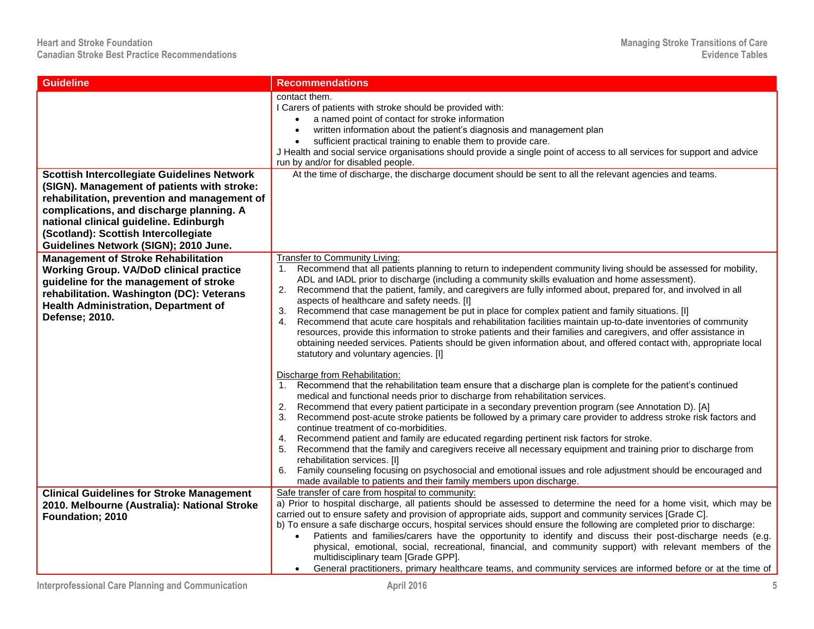| <b>Guideline</b>                                                                                                                                                                                                                                                                                                         | <b>Recommendations</b>                                                                                                                                                                                                                                                                                                                                                                                                                                                                                                                                                                                                                                                                                                                                                                                                                                                                                                                                          |
|--------------------------------------------------------------------------------------------------------------------------------------------------------------------------------------------------------------------------------------------------------------------------------------------------------------------------|-----------------------------------------------------------------------------------------------------------------------------------------------------------------------------------------------------------------------------------------------------------------------------------------------------------------------------------------------------------------------------------------------------------------------------------------------------------------------------------------------------------------------------------------------------------------------------------------------------------------------------------------------------------------------------------------------------------------------------------------------------------------------------------------------------------------------------------------------------------------------------------------------------------------------------------------------------------------|
|                                                                                                                                                                                                                                                                                                                          | contact them.<br>I Carers of patients with stroke should be provided with:<br>a named point of contact for stroke information<br>written information about the patient's diagnosis and management plan<br>$\bullet$<br>sufficient practical training to enable them to provide care.<br>J Health and social service organisations should provide a single point of access to all services for support and advice<br>run by and/or for disabled people.                                                                                                                                                                                                                                                                                                                                                                                                                                                                                                          |
| <b>Scottish Intercollegiate Guidelines Network</b><br>(SIGN). Management of patients with stroke:<br>rehabilitation, prevention and management of<br>complications, and discharge planning. A<br>national clinical guideline. Edinburgh<br>(Scotland): Scottish Intercollegiate<br>Guidelines Network (SIGN); 2010 June. | At the time of discharge, the discharge document should be sent to all the relevant agencies and teams.                                                                                                                                                                                                                                                                                                                                                                                                                                                                                                                                                                                                                                                                                                                                                                                                                                                         |
| <b>Management of Stroke Rehabilitation</b><br><b>Working Group. VA/DoD clinical practice</b><br>guideline for the management of stroke<br>rehabilitation. Washington (DC): Veterans<br><b>Health Administration, Department of</b><br>Defense; 2010.                                                                     | Transfer to Community Living:<br>1. Recommend that all patients planning to return to independent community living should be assessed for mobility,<br>ADL and IADL prior to discharge (including a community skills evaluation and home assessment).<br>2. Recommend that the patient, family, and caregivers are fully informed about, prepared for, and involved in all<br>aspects of healthcare and safety needs. [I]<br>Recommend that case management be put in place for complex patient and family situations. [I]<br>3.<br>Recommend that acute care hospitals and rehabilitation facilities maintain up-to-date inventories of community<br>4.<br>resources, provide this information to stroke patients and their families and caregivers, and offer assistance in<br>obtaining needed services. Patients should be given information about, and offered contact with, appropriate local<br>statutory and voluntary agencies. [I]                    |
|                                                                                                                                                                                                                                                                                                                          | Discharge from Rehabilitation:<br>1. Recommend that the rehabilitation team ensure that a discharge plan is complete for the patient's continued<br>medical and functional needs prior to discharge from rehabilitation services.<br>Recommend that every patient participate in a secondary prevention program (see Annotation D). [A]<br>2.<br>Recommend post-acute stroke patients be followed by a primary care provider to address stroke risk factors and<br>3.<br>continue treatment of co-morbidities.<br>4. Recommend patient and family are educated regarding pertinent risk factors for stroke.<br>Recommend that the family and caregivers receive all necessary equipment and training prior to discharge from<br>5.<br>rehabilitation services. [I]<br>Family counseling focusing on psychosocial and emotional issues and role adjustment should be encouraged and<br>6.<br>made available to patients and their family members upon discharge. |
| <b>Clinical Guidelines for Stroke Management</b><br>2010. Melbourne (Australia): National Stroke<br>Foundation; 2010                                                                                                                                                                                                     | Safe transfer of care from hospital to community:<br>a) Prior to hospital discharge, all patients should be assessed to determine the need for a home visit, which may be<br>carried out to ensure safety and provision of appropriate aids, support and community services [Grade C].<br>b) To ensure a safe discharge occurs, hospital services should ensure the following are completed prior to discharge:<br>Patients and families/carers have the opportunity to identify and discuss their post-discharge needs (e.g.<br>physical, emotional, social, recreational, financial, and community support) with relevant members of the<br>multidisciplinary team [Grade GPP].<br>General practitioners, primary healthcare teams, and community services are informed before or at the time of                                                                                                                                                              |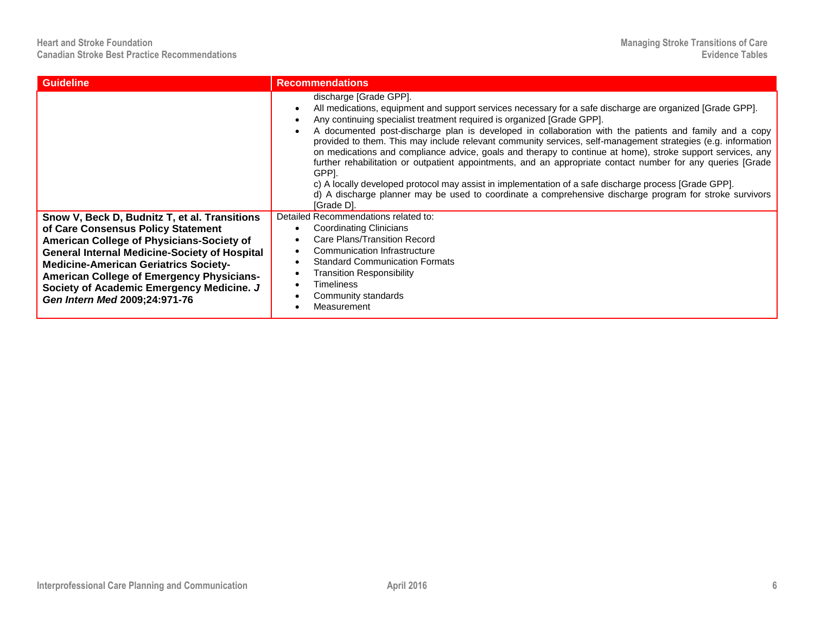| <b>Guideline</b>                                                                                                                                                                                                                                                                                                                                                           | <b>Recommendations</b>                                                                                                                                                                                                                                                                                                                                                                                                                                                                                                                                                                                                                                                                                                                                                                                                                                                                                          |
|----------------------------------------------------------------------------------------------------------------------------------------------------------------------------------------------------------------------------------------------------------------------------------------------------------------------------------------------------------------------------|-----------------------------------------------------------------------------------------------------------------------------------------------------------------------------------------------------------------------------------------------------------------------------------------------------------------------------------------------------------------------------------------------------------------------------------------------------------------------------------------------------------------------------------------------------------------------------------------------------------------------------------------------------------------------------------------------------------------------------------------------------------------------------------------------------------------------------------------------------------------------------------------------------------------|
|                                                                                                                                                                                                                                                                                                                                                                            | discharge [Grade GPP].<br>All medications, equipment and support services necessary for a safe discharge are organized [Grade GPP].<br>Any continuing specialist treatment required is organized [Grade GPP].<br>A documented post-discharge plan is developed in collaboration with the patients and family and a copy<br>provided to them. This may include relevant community services, self-management strategies (e.g. information<br>on medications and compliance advice, goals and therapy to continue at home), stroke support services, any<br>further rehabilitation or outpatient appointments, and an appropriate contact number for any queries [Grade<br>GPPI.<br>c) A locally developed protocol may assist in implementation of a safe discharge process [Grade GPP].<br>d) A discharge planner may be used to coordinate a comprehensive discharge program for stroke survivors<br>[Grade D]. |
| Snow V, Beck D, Budnitz T, et al. Transitions<br>of Care Consensus Policy Statement<br>American College of Physicians-Society of<br><b>General Internal Medicine-Society of Hospital</b><br><b>Medicine-American Geriatrics Society-</b><br><b>American College of Emergency Physicians-</b><br>Society of Academic Emergency Medicine. J<br>Gen Intern Med 2009;24:971-76 | Detailed Recommendations related to:<br>Coordinating Clinicians<br>Care Plans/Transition Record<br>Communication Infrastructure<br><b>Standard Communication Formats</b><br><b>Transition Responsibility</b><br><b>Timeliness</b><br>Community standards<br>Measurement                                                                                                                                                                                                                                                                                                                                                                                                                                                                                                                                                                                                                                         |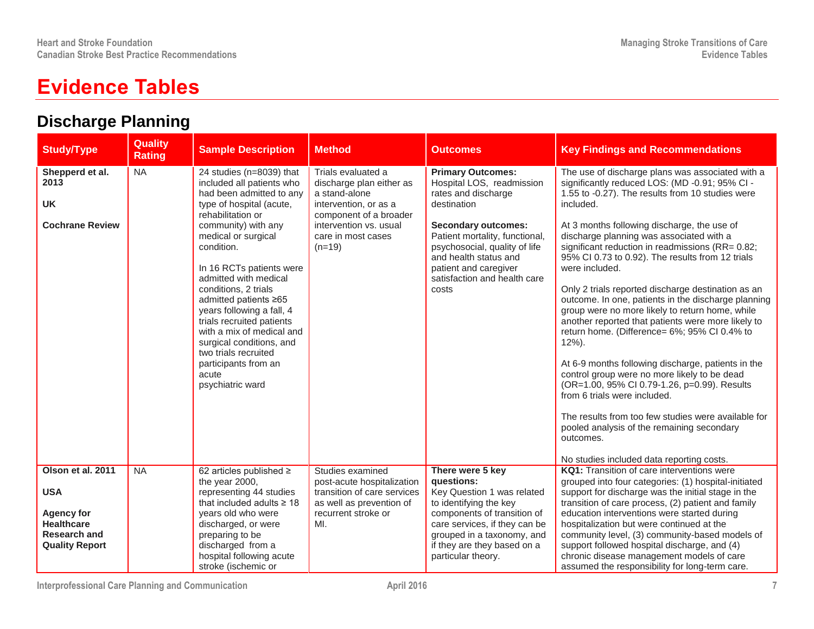## **Evidence Tables**

### **Discharge Planning**

| <b>Study/Type</b>                                                                                                         | <b>Quality</b><br><b>Rating</b> | <b>Sample Description</b>                                                                                                                                                                                                                                                                                                                                                                                                                                                                            | <b>Method</b>                                                                                                                                                                  | <b>Outcomes</b>                                                                                                                                                                                                                                                                         | <b>Key Findings and Recommendations</b>                                                                                                                                                                                                                                                                                                                                                                                                                                                                                                                                                                                                                                                                                                                                                                                                                                                                                                                                                                                         |
|---------------------------------------------------------------------------------------------------------------------------|---------------------------------|------------------------------------------------------------------------------------------------------------------------------------------------------------------------------------------------------------------------------------------------------------------------------------------------------------------------------------------------------------------------------------------------------------------------------------------------------------------------------------------------------|--------------------------------------------------------------------------------------------------------------------------------------------------------------------------------|-----------------------------------------------------------------------------------------------------------------------------------------------------------------------------------------------------------------------------------------------------------------------------------------|---------------------------------------------------------------------------------------------------------------------------------------------------------------------------------------------------------------------------------------------------------------------------------------------------------------------------------------------------------------------------------------------------------------------------------------------------------------------------------------------------------------------------------------------------------------------------------------------------------------------------------------------------------------------------------------------------------------------------------------------------------------------------------------------------------------------------------------------------------------------------------------------------------------------------------------------------------------------------------------------------------------------------------|
| Shepperd et al.<br>2013<br>UK<br><b>Cochrane Review</b>                                                                   | <b>NA</b>                       | 24 studies (n=8039) that<br>included all patients who<br>had been admitted to any<br>type of hospital (acute,<br>rehabilitation or<br>community) with any<br>medical or surgical<br>condition.<br>In 16 RCTs patients were<br>admitted with medical<br>conditions, 2 trials<br>admitted patients ≥65<br>years following a fall, 4<br>trials recruited patients<br>with a mix of medical and<br>surgical conditions, and<br>two trials recruited<br>participants from an<br>acute<br>psychiatric ward | Trials evaluated a<br>discharge plan either as<br>a stand-alone<br>intervention, or as a<br>component of a broader<br>intervention vs. usual<br>care in most cases<br>$(n=19)$ | <b>Primary Outcomes:</b><br>Hospital LOS, readmission<br>rates and discharge<br>destination<br><b>Secondary outcomes:</b><br>Patient mortality, functional,<br>psychosocial, quality of life<br>and health status and<br>patient and caregiver<br>satisfaction and health care<br>costs | The use of discharge plans was associated with a<br>significantly reduced LOS: (MD -0.91; 95% CI -<br>1.55 to -0.27). The results from 10 studies were<br>included.<br>At 3 months following discharge, the use of<br>discharge planning was associated with a<br>significant reduction in readmissions (RR= 0.82;<br>95% CI 0.73 to 0.92). The results from 12 trials<br>were included.<br>Only 2 trials reported discharge destination as an<br>outcome. In one, patients in the discharge planning<br>group were no more likely to return home, while<br>another reported that patients were more likely to<br>return home. (Difference= 6%; 95% CI 0.4% to<br>$12%$ ).<br>At 6-9 months following discharge, patients in the<br>control group were no more likely to be dead<br>(OR=1.00, 95% CI 0.79-1.26, p=0.99). Results<br>from 6 trials were included.<br>The results from too few studies were available for<br>pooled analysis of the remaining secondary<br>outcomes.<br>No studies included data reporting costs. |
| Olson et al. 2011<br><b>USA</b><br><b>Agency for</b><br><b>Healthcare</b><br><b>Research and</b><br><b>Quality Report</b> | <b>NA</b>                       | 62 articles published $\ge$<br>the year 2000,<br>representing 44 studies<br>that included adults $\geq 18$<br>years old who were<br>discharged, or were<br>preparing to be<br>discharged from a<br>hospital following acute<br>stroke (ischemic or                                                                                                                                                                                                                                                   | Studies examined<br>post-acute hospitalization<br>transition of care services<br>as well as prevention of<br>recurrent stroke or<br>MI.                                        | There were 5 key<br>questions:<br>Key Question 1 was related<br>to identifying the key<br>components of transition of<br>care services, if they can be<br>grouped in a taxonomy, and<br>if they are they based on a<br>particular theory.                                               | KQ1: Transition of care interventions were<br>grouped into four categories: (1) hospital-initiated<br>support for discharge was the initial stage in the<br>transition of care process, (2) patient and family<br>education interventions were started during<br>hospitalization but were continued at the<br>community level, (3) community-based models of<br>support followed hospital discharge, and (4)<br>chronic disease management models of care<br>assumed the responsibility for long-term care.                                                                                                                                                                                                                                                                                                                                                                                                                                                                                                                     |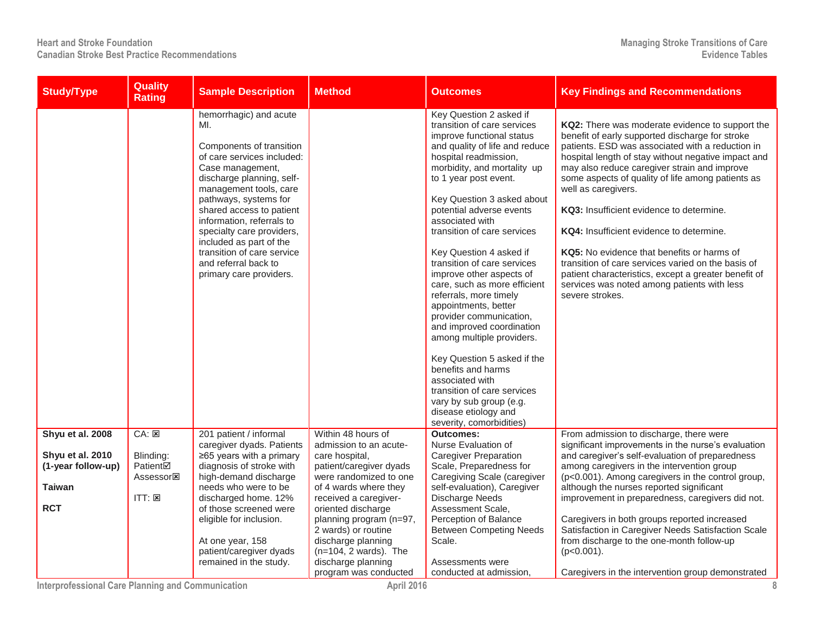| <b>Study/Type</b>                      | <b>Quality</b><br><b>Rating</b>                                     | <b>Sample Description</b>                                                                                                                                                                                                                                                                                                                                                                     | <b>Method</b>                                                       | <b>Outcomes</b>                                                                                                                                                                                                                                                                                                                                                                                                                                                                                                                                                                                                                                                                                                                                                       | <b>Key Findings and Recommendations</b>                                                                                                                                                                                                                                                                                                                                                                                                                                                                                                                                                                                                                         |
|----------------------------------------|---------------------------------------------------------------------|-----------------------------------------------------------------------------------------------------------------------------------------------------------------------------------------------------------------------------------------------------------------------------------------------------------------------------------------------------------------------------------------------|---------------------------------------------------------------------|-----------------------------------------------------------------------------------------------------------------------------------------------------------------------------------------------------------------------------------------------------------------------------------------------------------------------------------------------------------------------------------------------------------------------------------------------------------------------------------------------------------------------------------------------------------------------------------------------------------------------------------------------------------------------------------------------------------------------------------------------------------------------|-----------------------------------------------------------------------------------------------------------------------------------------------------------------------------------------------------------------------------------------------------------------------------------------------------------------------------------------------------------------------------------------------------------------------------------------------------------------------------------------------------------------------------------------------------------------------------------------------------------------------------------------------------------------|
|                                        |                                                                     | hemorrhagic) and acute<br>MI.<br>Components of transition<br>of care services included:<br>Case management,<br>discharge planning, self-<br>management tools, care<br>pathways, systems for<br>shared access to patient<br>information, referrals to<br>specialty care providers,<br>included as part of the<br>transition of care service<br>and referral back to<br>primary care providers. |                                                                     | Key Question 2 asked if<br>transition of care services<br>improve functional status<br>and quality of life and reduce<br>hospital readmission,<br>morbidity, and mortality up<br>to 1 year post event.<br>Key Question 3 asked about<br>potential adverse events<br>associated with<br>transition of care services<br>Key Question 4 asked if<br>transition of care services<br>improve other aspects of<br>care, such as more efficient<br>referrals, more timely<br>appointments, better<br>provider communication,<br>and improved coordination<br>among multiple providers.<br>Key Question 5 asked if the<br>benefits and harms<br>associated with<br>transition of care services<br>vary by sub group (e.g.<br>disease etiology and<br>severity, comorbidities) | KQ2: There was moderate evidence to support the<br>benefit of early supported discharge for stroke<br>patients. ESD was associated with a reduction in<br>hospital length of stay without negative impact and<br>may also reduce caregiver strain and improve<br>some aspects of quality of life among patients as<br>well as caregivers.<br>KQ3: Insufficient evidence to determine.<br>KQ4: Insufficient evidence to determine.<br>KQ5: No evidence that benefits or harms of<br>transition of care services varied on the basis of<br>patient characteristics, except a greater benefit of<br>services was noted among patients with less<br>severe strokes. |
| Shyu et al. 2008                       | $CA: \boxed{\times}$                                                | 201 patient / informal<br>caregiver dyads. Patients                                                                                                                                                                                                                                                                                                                                           | Within 48 hours of<br>admission to an acute-                        | <b>Outcomes:</b><br>Nurse Evaluation of                                                                                                                                                                                                                                                                                                                                                                                                                                                                                                                                                                                                                                                                                                                               | From admission to discharge, there were<br>significant improvements in the nurse's evaluation                                                                                                                                                                                                                                                                                                                                                                                                                                                                                                                                                                   |
| Shyu et al. 2010<br>(1-year follow-up) | Blinding:<br>Patient⊠<br>Assessor <sub><math>\boxtimes</math></sub> | $\geq 65$ years with a primary<br>diagnosis of stroke with<br>high-demand discharge                                                                                                                                                                                                                                                                                                           | care hospital,<br>patient/caregiver dyads<br>were randomized to one | <b>Caregiver Preparation</b><br>Scale, Preparedness for<br>Caregiving Scale (caregiver                                                                                                                                                                                                                                                                                                                                                                                                                                                                                                                                                                                                                                                                                | and caregiver's self-evaluation of preparedness<br>among caregivers in the intervention group<br>(p<0.001). Among caregivers in the control group,                                                                                                                                                                                                                                                                                                                                                                                                                                                                                                              |
| <b>Taiwan</b>                          |                                                                     | needs who were to be                                                                                                                                                                                                                                                                                                                                                                          | of 4 wards where they                                               | self-evaluation), Caregiver                                                                                                                                                                                                                                                                                                                                                                                                                                                                                                                                                                                                                                                                                                                                           | although the nurses reported significant                                                                                                                                                                                                                                                                                                                                                                                                                                                                                                                                                                                                                        |
| <b>RCT</b>                             | ITT: E                                                              | discharged home. 12%<br>of those screened were                                                                                                                                                                                                                                                                                                                                                | received a caregiver-<br>oriented discharge                         | <b>Discharge Needs</b><br>Assessment Scale,                                                                                                                                                                                                                                                                                                                                                                                                                                                                                                                                                                                                                                                                                                                           | improvement in preparedness, caregivers did not.                                                                                                                                                                                                                                                                                                                                                                                                                                                                                                                                                                                                                |
|                                        |                                                                     | eligible for inclusion.                                                                                                                                                                                                                                                                                                                                                                       | planning program (n=97,<br>2 wards) or routine                      | Perception of Balance<br><b>Between Competing Needs</b>                                                                                                                                                                                                                                                                                                                                                                                                                                                                                                                                                                                                                                                                                                               | Caregivers in both groups reported increased<br>Satisfaction in Caregiver Needs Satisfaction Scale                                                                                                                                                                                                                                                                                                                                                                                                                                                                                                                                                              |
|                                        |                                                                     | At one year, 158<br>patient/caregiver dyads                                                                                                                                                                                                                                                                                                                                                   | discharge planning<br>$(n=104, 2 \text{wards})$ . The               | Scale.                                                                                                                                                                                                                                                                                                                                                                                                                                                                                                                                                                                                                                                                                                                                                                | from discharge to the one-month follow-up<br>$(p<0.001)$ .                                                                                                                                                                                                                                                                                                                                                                                                                                                                                                                                                                                                      |
|                                        |                                                                     | remained in the study.                                                                                                                                                                                                                                                                                                                                                                        | discharge planning                                                  | Assessments were                                                                                                                                                                                                                                                                                                                                                                                                                                                                                                                                                                                                                                                                                                                                                      |                                                                                                                                                                                                                                                                                                                                                                                                                                                                                                                                                                                                                                                                 |
|                                        |                                                                     |                                                                                                                                                                                                                                                                                                                                                                                               | program was conducted                                               | conducted at admission,                                                                                                                                                                                                                                                                                                                                                                                                                                                                                                                                                                                                                                                                                                                                               | Caregivers in the intervention group demonstrated                                                                                                                                                                                                                                                                                                                                                                                                                                                                                                                                                                                                               |

**Interprofessional Care Planning and Communication April 2016 8**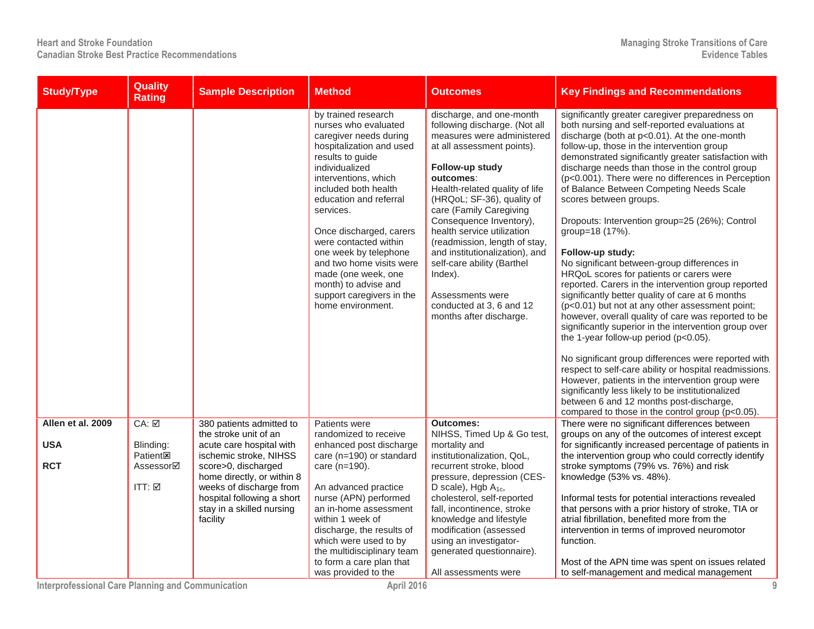| <b>Study/Type</b> | <b>Quality</b><br><b>Rating</b> | <b>Sample Description</b>                               | <b>Method</b>                                                                                                                                                                                                                                                                                                                                                                                                                            | <b>Outcomes</b>                                                                                                                                                                                                                                                                                                                                                                                                                                                                                  | <b>Key Findings and Recommendations</b>                                                                                                                                                                                                                                                                                                                                                                                                                                                                                                                                                                                                                                                                                                                                                                                                                                                                                                                                                                                                                                                                                                                                                                                                                                       |
|-------------------|---------------------------------|---------------------------------------------------------|------------------------------------------------------------------------------------------------------------------------------------------------------------------------------------------------------------------------------------------------------------------------------------------------------------------------------------------------------------------------------------------------------------------------------------------|--------------------------------------------------------------------------------------------------------------------------------------------------------------------------------------------------------------------------------------------------------------------------------------------------------------------------------------------------------------------------------------------------------------------------------------------------------------------------------------------------|-------------------------------------------------------------------------------------------------------------------------------------------------------------------------------------------------------------------------------------------------------------------------------------------------------------------------------------------------------------------------------------------------------------------------------------------------------------------------------------------------------------------------------------------------------------------------------------------------------------------------------------------------------------------------------------------------------------------------------------------------------------------------------------------------------------------------------------------------------------------------------------------------------------------------------------------------------------------------------------------------------------------------------------------------------------------------------------------------------------------------------------------------------------------------------------------------------------------------------------------------------------------------------|
|                   |                                 |                                                         | by trained research<br>nurses who evaluated<br>caregiver needs during<br>hospitalization and used<br>results to guide<br>individualized<br>interventions, which<br>included both health<br>education and referral<br>services.<br>Once discharged, carers<br>were contacted within<br>one week by telephone<br>and two home visits were<br>made (one week, one<br>month) to advise and<br>support caregivers in the<br>home environment. | discharge, and one-month<br>following discharge. (Not all<br>measures were administered<br>at all assessment points).<br>Follow-up study<br>outcomes:<br>Health-related quality of life<br>(HRQoL; SF-36), quality of<br>care (Family Caregiving<br>Consequence Inventory),<br>health service utilization<br>(readmission, length of stay,<br>and institutionalization), and<br>self-care ability (Barthel<br>Index).<br>Assessments were<br>conducted at 3, 6 and 12<br>months after discharge. | significantly greater caregiver preparedness on<br>both nursing and self-reported evaluations at<br>discharge (both at p<0.01). At the one-month<br>follow-up, those in the intervention group<br>demonstrated significantly greater satisfaction with<br>discharge needs than those in the control group<br>(p<0.001). There were no differences in Perception<br>of Balance Between Competing Needs Scale<br>scores between groups.<br>Dropouts: Intervention group=25 (26%); Control<br>group=18 (17%).<br>Follow-up study:<br>No significant between-group differences in<br>HRQoL scores for patients or carers were<br>reported. Carers in the intervention group reported<br>significantly better quality of care at 6 months<br>(p<0.01) but not at any other assessment point;<br>however, overall quality of care was reported to be<br>significantly superior in the intervention group over<br>the 1-year follow-up period (p<0.05).<br>No significant group differences were reported with<br>respect to self-care ability or hospital readmissions.<br>However, patients in the intervention group were<br>significantly less likely to be institutionalized<br>between 6 and 12 months post-discharge,<br>compared to those in the control group ( $p<0.05$ ). |
| Allen et al. 2009 | CA: ☑                           | 380 patients admitted to<br>the stroke unit of an       | Patients were<br>randomized to receive                                                                                                                                                                                                                                                                                                                                                                                                   | <b>Outcomes:</b><br>NIHSS, Timed Up & Go test,                                                                                                                                                                                                                                                                                                                                                                                                                                                   | There were no significant differences between<br>groups on any of the outcomes of interest except                                                                                                                                                                                                                                                                                                                                                                                                                                                                                                                                                                                                                                                                                                                                                                                                                                                                                                                                                                                                                                                                                                                                                                             |
| <b>USA</b>        | Blinding:<br><b>Patient図</b>    | acute care hospital with<br>ischemic stroke, NIHSS      | enhanced post discharge<br>care (n=190) or standard                                                                                                                                                                                                                                                                                                                                                                                      | mortality and<br>institutionalization, QoL,                                                                                                                                                                                                                                                                                                                                                                                                                                                      | for significantly increased percentage of patients in<br>the intervention group who could correctly identify                                                                                                                                                                                                                                                                                                                                                                                                                                                                                                                                                                                                                                                                                                                                                                                                                                                                                                                                                                                                                                                                                                                                                                  |
| <b>RCT</b>        | Assessor⊠                       | score>0, discharged<br>home directly, or within 8       | care (n=190).                                                                                                                                                                                                                                                                                                                                                                                                                            | recurrent stroke, blood<br>pressure, depression (CES-                                                                                                                                                                                                                                                                                                                                                                                                                                            | stroke symptoms (79% vs. 76%) and risk<br>knowledge (53% vs. 48%).                                                                                                                                                                                                                                                                                                                                                                                                                                                                                                                                                                                                                                                                                                                                                                                                                                                                                                                                                                                                                                                                                                                                                                                                            |
|                   | ITT: ☑                          | weeks of discharge from                                 | An advanced practice                                                                                                                                                                                                                                                                                                                                                                                                                     | D scale), Hgb $A_{1c}$ ,                                                                                                                                                                                                                                                                                                                                                                                                                                                                         |                                                                                                                                                                                                                                                                                                                                                                                                                                                                                                                                                                                                                                                                                                                                                                                                                                                                                                                                                                                                                                                                                                                                                                                                                                                                               |
|                   |                                 | hospital following a short<br>stay in a skilled nursing | nurse (APN) performed<br>an in-home assessment                                                                                                                                                                                                                                                                                                                                                                                           | cholesterol, self-reported<br>fall, incontinence, stroke                                                                                                                                                                                                                                                                                                                                                                                                                                         | Informal tests for potential interactions revealed<br>that persons with a prior history of stroke, TIA or                                                                                                                                                                                                                                                                                                                                                                                                                                                                                                                                                                                                                                                                                                                                                                                                                                                                                                                                                                                                                                                                                                                                                                     |
|                   |                                 | facility                                                | within 1 week of<br>discharge, the results of                                                                                                                                                                                                                                                                                                                                                                                            | knowledge and lifestyle<br>modification (assessed                                                                                                                                                                                                                                                                                                                                                                                                                                                | atrial fibrillation, benefited more from the<br>intervention in terms of improved neuromotor                                                                                                                                                                                                                                                                                                                                                                                                                                                                                                                                                                                                                                                                                                                                                                                                                                                                                                                                                                                                                                                                                                                                                                                  |
|                   |                                 |                                                         | which were used to by<br>the multidisciplinary team                                                                                                                                                                                                                                                                                                                                                                                      | using an investigator-<br>generated questionnaire).                                                                                                                                                                                                                                                                                                                                                                                                                                              | function.                                                                                                                                                                                                                                                                                                                                                                                                                                                                                                                                                                                                                                                                                                                                                                                                                                                                                                                                                                                                                                                                                                                                                                                                                                                                     |
|                   |                                 |                                                         | to form a care plan that<br>was provided to the                                                                                                                                                                                                                                                                                                                                                                                          | All assessments were                                                                                                                                                                                                                                                                                                                                                                                                                                                                             | Most of the APN time was spent on issues related<br>to self-management and medical management                                                                                                                                                                                                                                                                                                                                                                                                                                                                                                                                                                                                                                                                                                                                                                                                                                                                                                                                                                                                                                                                                                                                                                                 |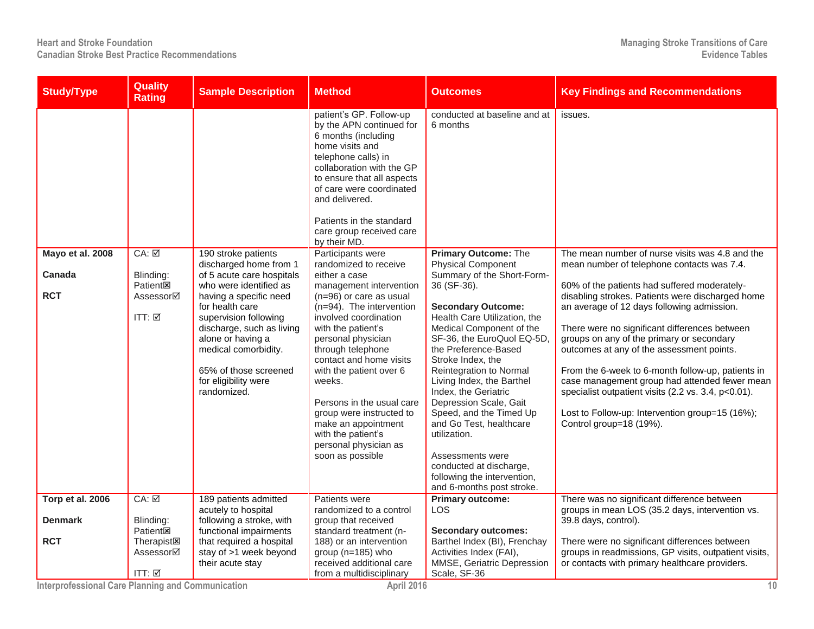| <b>Study/Type</b> | <b>Quality</b><br><b>Rating</b> | <b>Sample Description</b>                           | Method                                                                                                                                                                                                                                                                                | <b>Outcomes</b>                                          | <b>Key Findings and Recommendations</b>                                                                 |
|-------------------|---------------------------------|-----------------------------------------------------|---------------------------------------------------------------------------------------------------------------------------------------------------------------------------------------------------------------------------------------------------------------------------------------|----------------------------------------------------------|---------------------------------------------------------------------------------------------------------|
|                   |                                 |                                                     | patient's GP. Follow-up<br>by the APN continued for<br>6 months (including<br>home visits and<br>telephone calls) in<br>collaboration with the GP<br>to ensure that all aspects<br>of care were coordinated<br>and delivered.<br>Patients in the standard<br>care group received care | conducted at baseline and at<br>6 months                 | issues.                                                                                                 |
| Mayo et al. 2008  | $CA: \overline{M}$              | 190 stroke patients                                 | by their MD.<br>Participants were                                                                                                                                                                                                                                                     | <b>Primary Outcome: The</b>                              | The mean number of nurse visits was 4.8 and the                                                         |
| Canada            | Blinding:                       | discharged home from 1<br>of 5 acute care hospitals | randomized to receive<br>either a case                                                                                                                                                                                                                                                | <b>Physical Component</b><br>Summary of the Short-Form-  | mean number of telephone contacts was 7.4.                                                              |
|                   | <b>Patient<sub>E</sub></b>      | who were identified as                              | management intervention                                                                                                                                                                                                                                                               | 36 (SF-36).                                              | 60% of the patients had suffered moderately-                                                            |
| <b>RCT</b>        | Assessor⊠                       | having a specific need<br>for health care           | $(n=96)$ or care as usual<br>(n=94). The intervention                                                                                                                                                                                                                                 | <b>Secondary Outcome:</b>                                | disabling strokes. Patients were discharged home<br>an average of 12 days following admission.          |
|                   | ITT: $\boxtimes$                | supervision following                               | involved coordination                                                                                                                                                                                                                                                                 | Health Care Utilization, the                             |                                                                                                         |
|                   |                                 | discharge, such as living                           | with the patient's                                                                                                                                                                                                                                                                    | Medical Component of the                                 | There were no significant differences between                                                           |
|                   |                                 | alone or having a                                   | personal physician                                                                                                                                                                                                                                                                    | SF-36, the EuroQuol EQ-5D,                               | groups on any of the primary or secondary                                                               |
|                   |                                 | medical comorbidity.                                | through telephone                                                                                                                                                                                                                                                                     | the Preference-Based                                     | outcomes at any of the assessment points.                                                               |
|                   |                                 | 65% of those screened                               | contact and home visits<br>with the patient over 6                                                                                                                                                                                                                                    | Stroke Index, the<br>Reintegration to Normal             | From the 6-week to 6-month follow-up, patients in                                                       |
|                   |                                 | for eligibility were<br>randomized.                 | weeks.                                                                                                                                                                                                                                                                                | Living Index, the Barthel<br>Index, the Geriatric        | case management group had attended fewer mean<br>specialist outpatient visits (2.2 vs. 3.4, p<0.01).    |
|                   |                                 |                                                     | Persons in the usual care                                                                                                                                                                                                                                                             | Depression Scale, Gait                                   |                                                                                                         |
|                   |                                 |                                                     | group were instructed to                                                                                                                                                                                                                                                              | Speed, and the Timed Up                                  | Lost to Follow-up: Intervention group=15 (16%);                                                         |
|                   |                                 |                                                     | make an appointment<br>with the patient's                                                                                                                                                                                                                                             | and Go Test, healthcare<br>utilization.                  | Control group=18 (19%).                                                                                 |
|                   |                                 |                                                     | personal physician as                                                                                                                                                                                                                                                                 |                                                          |                                                                                                         |
|                   |                                 |                                                     | soon as possible                                                                                                                                                                                                                                                                      | Assessments were                                         |                                                                                                         |
|                   |                                 |                                                     |                                                                                                                                                                                                                                                                                       | conducted at discharge,                                  |                                                                                                         |
|                   |                                 |                                                     |                                                                                                                                                                                                                                                                                       | following the intervention,<br>and 6-months post stroke. |                                                                                                         |
| Torp et al. 2006  | CA: ☑                           | 189 patients admitted                               | Patients were                                                                                                                                                                                                                                                                         | <b>Primary outcome:</b>                                  | There was no significant difference between                                                             |
|                   |                                 | acutely to hospital                                 | randomized to a control                                                                                                                                                                                                                                                               | LOS                                                      | groups in mean LOS (35.2 days, intervention vs.                                                         |
| <b>Denmark</b>    | Blinding:                       | following a stroke, with                            | group that received                                                                                                                                                                                                                                                                   |                                                          | 39.8 days, control).                                                                                    |
|                   | <b>Patient</b> 图                | functional impairments                              | standard treatment (n-                                                                                                                                                                                                                                                                | <b>Secondary outcomes:</b>                               |                                                                                                         |
| <b>RCT</b>        | <b>Therapist図</b>               | that required a hospital                            | 188) or an intervention                                                                                                                                                                                                                                                               | Barthel Index (BI), Frenchay                             | There were no significant differences between                                                           |
|                   | Assessor⊠                       | stay of >1 week beyond<br>their acute stay          | group (n=185) who<br>received additional care                                                                                                                                                                                                                                         | Activities Index (FAI),<br>MMSE, Geriatric Depression    | groups in readmissions, GP visits, outpatient visits,<br>or contacts with primary healthcare providers. |
|                   | ITT: ☑                          |                                                     | from a multidisciplinary                                                                                                                                                                                                                                                              | Scale, SF-36                                             |                                                                                                         |

**Interprofessional Care Planning and Communication April 2016 10**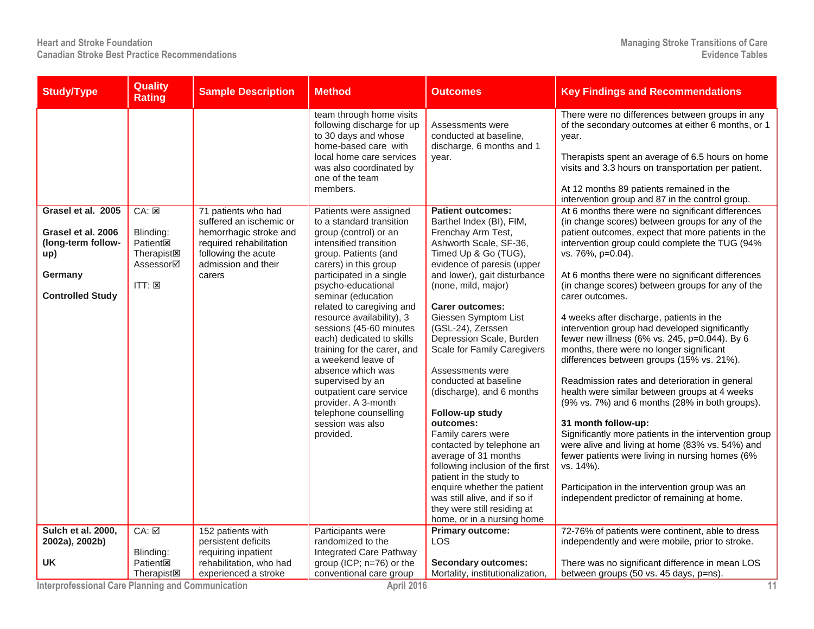| <b>Study/Type</b>                                                                     | Quality<br><b>Rating</b>                                                                       | <b>Sample Description</b>                                                                                                            | <b>Method</b>                                                                                                                                                                                                                                                                                                                                                                                                                                                                                                                    | <b>Outcomes</b>                                                                                                                                                                                                                                                                                                                                                                                                                                                                                                                                                                                                                                                                                          | <b>Key Findings and Recommendations</b>                                                                                                                                                                                                                                                                                                                                                                                                                                                                                                                                                                                                                                                                                                                                                                                                                                                                                                                                                                    |
|---------------------------------------------------------------------------------------|------------------------------------------------------------------------------------------------|--------------------------------------------------------------------------------------------------------------------------------------|----------------------------------------------------------------------------------------------------------------------------------------------------------------------------------------------------------------------------------------------------------------------------------------------------------------------------------------------------------------------------------------------------------------------------------------------------------------------------------------------------------------------------------|----------------------------------------------------------------------------------------------------------------------------------------------------------------------------------------------------------------------------------------------------------------------------------------------------------------------------------------------------------------------------------------------------------------------------------------------------------------------------------------------------------------------------------------------------------------------------------------------------------------------------------------------------------------------------------------------------------|------------------------------------------------------------------------------------------------------------------------------------------------------------------------------------------------------------------------------------------------------------------------------------------------------------------------------------------------------------------------------------------------------------------------------------------------------------------------------------------------------------------------------------------------------------------------------------------------------------------------------------------------------------------------------------------------------------------------------------------------------------------------------------------------------------------------------------------------------------------------------------------------------------------------------------------------------------------------------------------------------------|
| Grasel et al. 2005                                                                    | CA: E                                                                                          | 71 patients who had                                                                                                                  | team through home visits<br>following discharge for up<br>to 30 days and whose<br>home-based care with<br>local home care services<br>was also coordinated by<br>one of the team<br>members.<br>Patients were assigned                                                                                                                                                                                                                                                                                                           | Assessments were<br>conducted at baseline.<br>discharge, 6 months and 1<br>year.<br><b>Patient outcomes:</b>                                                                                                                                                                                                                                                                                                                                                                                                                                                                                                                                                                                             | There were no differences between groups in any<br>of the secondary outcomes at either 6 months, or 1<br>year.<br>Therapists spent an average of 6.5 hours on home<br>visits and 3.3 hours on transportation per patient.<br>At 12 months 89 patients remained in the<br>intervention group and 87 in the control group.<br>At 6 months there were no significant differences                                                                                                                                                                                                                                                                                                                                                                                                                                                                                                                                                                                                                              |
| Grasel et al. 2006<br>(long-term follow-<br>up)<br>Germany<br><b>Controlled Study</b> | Blinding:<br><b>Patient<sub>s</sub></b><br><b>Therapist図</b><br>Assessor⊠<br>$ITT: \mathbb{Z}$ | suffered an ischemic or<br>hemorrhagic stroke and<br>required rehabilitation<br>following the acute<br>admission and their<br>carers | to a standard transition<br>group (control) or an<br>intensified transition<br>group. Patients (and<br>carers) in this group<br>participated in a single<br>psycho-educational<br>seminar (education<br>related to caregiving and<br>resource availability), 3<br>sessions (45-60 minutes<br>each) dedicated to skills<br>training for the carer, and<br>a weekend leave of<br>absence which was<br>supervised by an<br>outpatient care service<br>provider. A 3-month<br>telephone counselling<br>session was also<br>provided. | Barthel Index (BI), FIM,<br>Frenchay Arm Test,<br>Ashworth Scale, SF-36,<br>Timed Up & Go (TUG),<br>evidence of paresis (upper<br>and lower), gait disturbance<br>(none, mild, major)<br><b>Carer outcomes:</b><br>Giessen Symptom List<br>(GSL-24), Zerssen<br>Depression Scale, Burden<br>Scale for Family Caregivers<br>Assessments were<br>conducted at baseline<br>(discharge), and 6 months<br>Follow-up study<br>outcomes:<br>Family carers were<br>contacted by telephone an<br>average of 31 months<br>following inclusion of the first<br>patient in the study to<br>enquire whether the patient<br>was still alive, and if so if<br>they were still residing at<br>home, or in a nursing home | (in change scores) between groups for any of the<br>patient outcomes, expect that more patients in the<br>intervention group could complete the TUG (94%<br>vs. 76%, p=0.04).<br>At 6 months there were no significant differences<br>(in change scores) between groups for any of the<br>carer outcomes.<br>4 weeks after discharge, patients in the<br>intervention group had developed significantly<br>fewer new illness (6% vs. 245, p=0.044). By 6<br>months, there were no longer significant<br>differences between groups (15% vs. 21%).<br>Readmission rates and deterioration in general<br>health were similar between groups at 4 weeks<br>(9% vs. 7%) and 6 months (28% in both groups).<br>31 month follow-up:<br>Significantly more patients in the intervention group<br>were alive and living at home (83% vs. 54%) and<br>fewer patients were living in nursing homes (6%<br>vs. 14%).<br>Participation in the intervention group was an<br>independent predictor of remaining at home. |
| Sulch et al. 2000,<br>2002a), 2002b)<br><b>UK</b>                                     | CA: ☑<br>Blinding:<br><b>Patient<sub>x</sub></b><br><b>Therapist<sub>I</sub></b>               | 152 patients with<br>persistent deficits<br>requiring inpatient<br>rehabilitation, who had<br>experienced a stroke                   | Participants were<br>randomized to the<br>Integrated Care Pathway<br>group (ICP; n=76) or the<br>conventional care group                                                                                                                                                                                                                                                                                                                                                                                                         | <b>Primary outcome:</b><br><b>LOS</b><br><b>Secondary outcomes:</b><br>Mortality, institutionalization,                                                                                                                                                                                                                                                                                                                                                                                                                                                                                                                                                                                                  | 72-76% of patients were continent, able to dress<br>independently and were mobile, prior to stroke.<br>There was no significant difference in mean LOS<br>between groups (50 vs. 45 days, p=ns).                                                                                                                                                                                                                                                                                                                                                                                                                                                                                                                                                                                                                                                                                                                                                                                                           |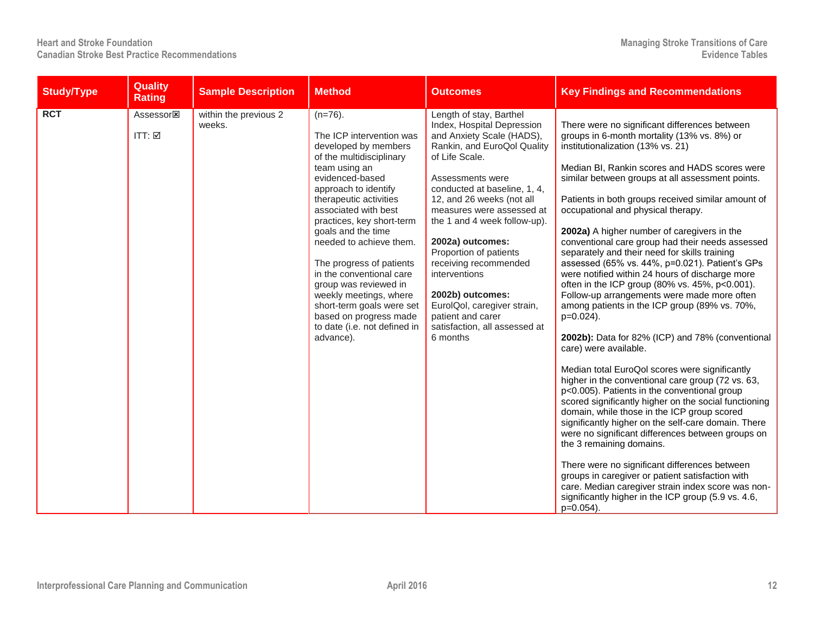| <b>Study/Type</b> | Quality<br><b>Rating</b>                                       | <b>Sample Description</b>       | <b>Method</b>                                                                                                                                                                                                                                                                                                                                                                                                                                                                                         | <b>Outcomes</b>                                                                                                                                                                                                                                                                                                                                                                                                                                                                                | <b>Key Findings and Recommendations</b>                                                                                                                                                                                                                                                                                                                                                                                                                                                                                                                                                                                                                                                                                                                                                                                                                                                                                                                                                                                                                                                                                                                                                                                                                                                                                                                                                                                                                                             |
|-------------------|----------------------------------------------------------------|---------------------------------|-------------------------------------------------------------------------------------------------------------------------------------------------------------------------------------------------------------------------------------------------------------------------------------------------------------------------------------------------------------------------------------------------------------------------------------------------------------------------------------------------------|------------------------------------------------------------------------------------------------------------------------------------------------------------------------------------------------------------------------------------------------------------------------------------------------------------------------------------------------------------------------------------------------------------------------------------------------------------------------------------------------|-------------------------------------------------------------------------------------------------------------------------------------------------------------------------------------------------------------------------------------------------------------------------------------------------------------------------------------------------------------------------------------------------------------------------------------------------------------------------------------------------------------------------------------------------------------------------------------------------------------------------------------------------------------------------------------------------------------------------------------------------------------------------------------------------------------------------------------------------------------------------------------------------------------------------------------------------------------------------------------------------------------------------------------------------------------------------------------------------------------------------------------------------------------------------------------------------------------------------------------------------------------------------------------------------------------------------------------------------------------------------------------------------------------------------------------------------------------------------------------|
| <b>RCT</b>        | Assessor <sub><math>\boxtimes</math></sub><br>$ITT: \boxed{2}$ | within the previous 2<br>weeks. | $(n=76)$ .<br>The ICP intervention was<br>developed by members<br>of the multidisciplinary<br>team using an<br>evidenced-based<br>approach to identify<br>therapeutic activities<br>associated with best<br>practices, key short-term<br>goals and the time<br>needed to achieve them.<br>The progress of patients<br>in the conventional care<br>group was reviewed in<br>weekly meetings, where<br>short-term goals were set<br>based on progress made<br>to date (i.e. not defined in<br>advance). | Length of stay, Barthel<br>Index, Hospital Depression<br>and Anxiety Scale (HADS),<br>Rankin, and EuroQol Quality<br>of Life Scale.<br>Assessments were<br>conducted at baseline, 1, 4,<br>12, and 26 weeks (not all<br>measures were assessed at<br>the 1 and 4 week follow-up).<br>2002a) outcomes:<br>Proportion of patients<br>receiving recommended<br>interventions<br>2002b) outcomes:<br>EurolQol, caregiver strain,<br>patient and carer<br>satisfaction, all assessed at<br>6 months | There were no significant differences between<br>groups in 6-month mortality (13% vs. 8%) or<br>institutionalization (13% vs. 21)<br>Median BI, Rankin scores and HADS scores were<br>similar between groups at all assessment points.<br>Patients in both groups received similar amount of<br>occupational and physical therapy.<br>2002a) A higher number of caregivers in the<br>conventional care group had their needs assessed<br>separately and their need for skills training<br>assessed (65% vs. 44%, p=0.021). Patient's GPs<br>were notified within 24 hours of discharge more<br>often in the ICP group (80% vs. 45%, p<0.001).<br>Follow-up arrangements were made more often<br>among patients in the ICP group (89% vs. 70%,<br>$p=0.024$ ).<br>2002b): Data for 82% (ICP) and 78% (conventional<br>care) were available.<br>Median total EuroQol scores were significantly<br>higher in the conventional care group (72 vs. 63,<br>p<0.005). Patients in the conventional group<br>scored significantly higher on the social functioning<br>domain, while those in the ICP group scored<br>significantly higher on the self-care domain. There<br>were no significant differences between groups on<br>the 3 remaining domains.<br>There were no significant differences between<br>groups in caregiver or patient satisfaction with<br>care. Median caregiver strain index score was non-<br>significantly higher in the ICP group (5.9 vs. 4.6,<br>$p=0.054$ ). |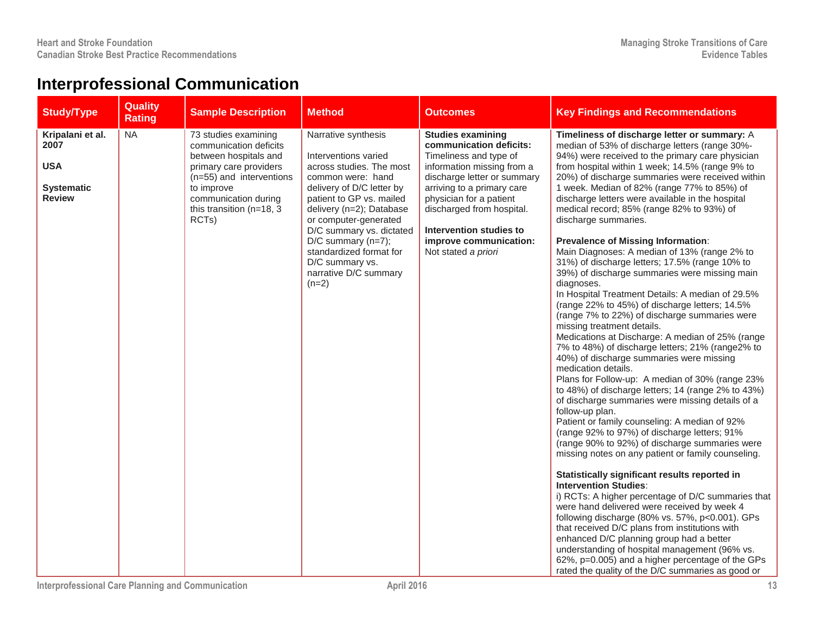## **Interprofessional Communication**

| <b>Study/Type</b>                                                            | <b>Quality</b><br><b>Rating</b> | <b>Sample Description</b>                                                                                                                                                                                                   | <b>Method</b>                                                                                                                                                                                                                                                                                                                                    | <b>Outcomes</b>                                                                                                                                                                                                                                                                                              | <b>Key Findings and Recommendations</b>                                                                                                                                                                                                                                                                                                                                                                                                                                                                                                                                                                                                                                                                                                                                                                                                                                                                                                                                                                                                                                                                                                                                                                                                                                                                                                                                                                                                                                                                                                                                                                                                                                                                                                                                                                                                                                                                   |
|------------------------------------------------------------------------------|---------------------------------|-----------------------------------------------------------------------------------------------------------------------------------------------------------------------------------------------------------------------------|--------------------------------------------------------------------------------------------------------------------------------------------------------------------------------------------------------------------------------------------------------------------------------------------------------------------------------------------------|--------------------------------------------------------------------------------------------------------------------------------------------------------------------------------------------------------------------------------------------------------------------------------------------------------------|-----------------------------------------------------------------------------------------------------------------------------------------------------------------------------------------------------------------------------------------------------------------------------------------------------------------------------------------------------------------------------------------------------------------------------------------------------------------------------------------------------------------------------------------------------------------------------------------------------------------------------------------------------------------------------------------------------------------------------------------------------------------------------------------------------------------------------------------------------------------------------------------------------------------------------------------------------------------------------------------------------------------------------------------------------------------------------------------------------------------------------------------------------------------------------------------------------------------------------------------------------------------------------------------------------------------------------------------------------------------------------------------------------------------------------------------------------------------------------------------------------------------------------------------------------------------------------------------------------------------------------------------------------------------------------------------------------------------------------------------------------------------------------------------------------------------------------------------------------------------------------------------------------------|
| Kripalani et al.<br>2007<br><b>USA</b><br><b>Systematic</b><br><b>Review</b> | <b>NA</b>                       | 73 studies examining<br>communication deficits<br>between hospitals and<br>primary care providers<br>$(n=55)$ and interventions<br>to improve<br>communication during<br>this transition ( $n=18$ , 3<br>RCT <sub>s</sub> ) | Narrative synthesis<br>Interventions varied<br>across studies. The most<br>common were: hand<br>delivery of D/C letter by<br>patient to GP vs. mailed<br>delivery (n=2); Database<br>or computer-generated<br>D/C summary vs. dictated<br>$D/C$ summary (n=7);<br>standardized format for<br>D/C summary vs.<br>narrative D/C summary<br>$(n=2)$ | <b>Studies examining</b><br>communication deficits:<br>Timeliness and type of<br>information missing from a<br>discharge letter or summary<br>arriving to a primary care<br>physician for a patient<br>discharged from hospital.<br>Intervention studies to<br>improve communication:<br>Not stated a priori | Timeliness of discharge letter or summary: A<br>median of 53% of discharge letters (range 30%-<br>94%) were received to the primary care physician<br>from hospital within 1 week; 14.5% (range 9% to<br>20%) of discharge summaries were received within<br>1 week. Median of 82% (range 77% to 85%) of<br>discharge letters were available in the hospital<br>medical record; 85% (range 82% to 93%) of<br>discharge summaries.<br><b>Prevalence of Missing Information:</b><br>Main Diagnoses: A median of 13% (range 2% to<br>31%) of discharge letters; 17.5% (range 10% to<br>39%) of discharge summaries were missing main<br>diagnoses.<br>In Hospital Treatment Details: A median of 29.5%<br>(range 22% to 45%) of discharge letters; 14.5%<br>(range 7% to 22%) of discharge summaries were<br>missing treatment details.<br>Medications at Discharge: A median of 25% (range<br>7% to 48%) of discharge letters; 21% (range2% to<br>40%) of discharge summaries were missing<br>medication details.<br>Plans for Follow-up: A median of 30% (range 23%<br>to 48%) of discharge letters; 14 (range 2% to 43%)<br>of discharge summaries were missing details of a<br>follow-up plan.<br>Patient or family counseling: A median of 92%<br>(range 92% to 97%) of discharge letters; 91%<br>(range 90% to 92%) of discharge summaries were<br>missing notes on any patient or family counseling.<br>Statistically significant results reported in<br><b>Intervention Studies:</b><br>i) RCTs: A higher percentage of D/C summaries that<br>were hand delivered were received by week 4<br>following discharge (80% vs. 57%, p<0.001). GPs<br>that received D/C plans from institutions with<br>enhanced D/C planning group had a better<br>understanding of hospital management (96% vs.<br>62%, p=0.005) and a higher percentage of the GPs<br>rated the quality of the D/C summaries as good or |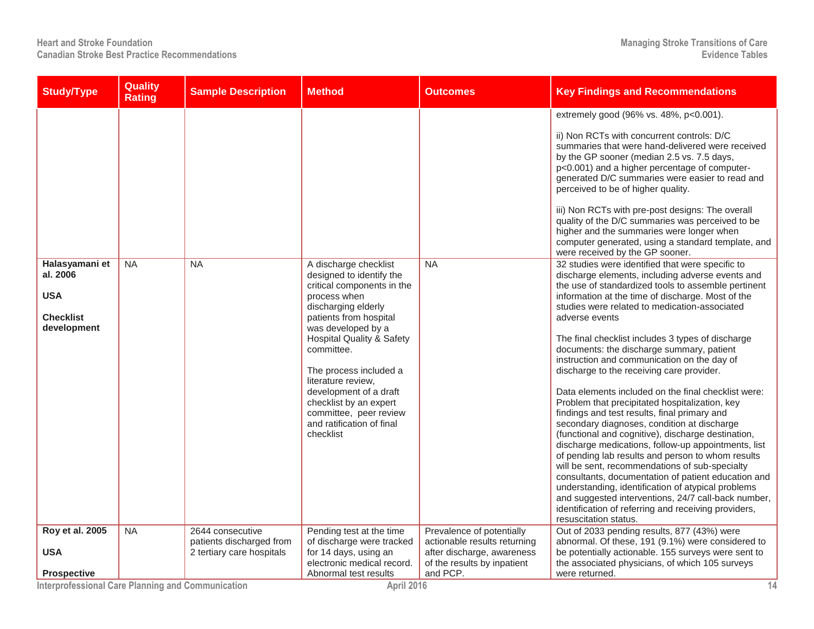| <b>Study/Type</b>                                                           | Quality<br><b>Rating</b> | <b>Sample Description</b>                                                 | <b>Method</b>                                                                                                                                                                                                                                                                                                                                                                                        | <b>Outcomes</b>                                                                                                        | <b>Key Findings and Recommendations</b>                                                                                                                                                                                                                                                                                                                                                                                                                                                                                                                                                                                                                                                                                                                                                                                                                                                                                                                                                                                                                                                                                                                            |
|-----------------------------------------------------------------------------|--------------------------|---------------------------------------------------------------------------|------------------------------------------------------------------------------------------------------------------------------------------------------------------------------------------------------------------------------------------------------------------------------------------------------------------------------------------------------------------------------------------------------|------------------------------------------------------------------------------------------------------------------------|--------------------------------------------------------------------------------------------------------------------------------------------------------------------------------------------------------------------------------------------------------------------------------------------------------------------------------------------------------------------------------------------------------------------------------------------------------------------------------------------------------------------------------------------------------------------------------------------------------------------------------------------------------------------------------------------------------------------------------------------------------------------------------------------------------------------------------------------------------------------------------------------------------------------------------------------------------------------------------------------------------------------------------------------------------------------------------------------------------------------------------------------------------------------|
|                                                                             |                          |                                                                           |                                                                                                                                                                                                                                                                                                                                                                                                      |                                                                                                                        | extremely good (96% vs. 48%, p<0.001).<br>ii) Non RCTs with concurrent controls: D/C<br>summaries that were hand-delivered were received<br>by the GP sooner (median 2.5 vs. 7.5 days,<br>p<0.001) and a higher percentage of computer-<br>generated D/C summaries were easier to read and<br>perceived to be of higher quality.<br>iii) Non RCTs with pre-post designs: The overall<br>quality of the D/C summaries was perceived to be<br>higher and the summaries were longer when<br>computer generated, using a standard template, and<br>were received by the GP sooner.                                                                                                                                                                                                                                                                                                                                                                                                                                                                                                                                                                                     |
| Halasyamani et<br>al. 2006<br><b>USA</b><br><b>Checklist</b><br>development | <b>NA</b>                | <b>NA</b>                                                                 | A discharge checklist<br>designed to identify the<br>critical components in the<br>process when<br>discharging elderly<br>patients from hospital<br>was developed by a<br><b>Hospital Quality &amp; Safety</b><br>committee.<br>The process included a<br>literature review,<br>development of a draft<br>checklist by an expert<br>committee, peer review<br>and ratification of final<br>checklist | <b>NA</b>                                                                                                              | 32 studies were identified that were specific to<br>discharge elements, including adverse events and<br>the use of standardized tools to assemble pertinent<br>information at the time of discharge. Most of the<br>studies were related to medication-associated<br>adverse events<br>The final checklist includes 3 types of discharge<br>documents: the discharge summary, patient<br>instruction and communication on the day of<br>discharge to the receiving care provider.<br>Data elements included on the final checklist were:<br>Problem that precipitated hospitalization, key<br>findings and test results, final primary and<br>secondary diagnoses, condition at discharge<br>(functional and cognitive), discharge destination,<br>discharge medications, follow-up appointments, list<br>of pending lab results and person to whom results<br>will be sent, recommendations of sub-specialty<br>consultants, documentation of patient education and<br>understanding, identification of atypical problems<br>and suggested interventions, 24/7 call-back number,<br>identification of referring and receiving providers,<br>resuscitation status. |
| <b>Roy et al. 2005</b><br><b>USA</b>                                        | <b>NA</b>                | 2644 consecutive<br>patients discharged from<br>2 tertiary care hospitals | Pending test at the time<br>of discharge were tracked<br>for 14 days, using an<br>electronic medical record.                                                                                                                                                                                                                                                                                         | Prevalence of potentially<br>actionable results returning<br>after discharge, awareness<br>of the results by inpatient | Out of 2033 pending results, 877 (43%) were<br>abnormal. Of these, 191 (9.1%) were considered to<br>be potentially actionable. 155 surveys were sent to<br>the associated physicians, of which 105 surveys                                                                                                                                                                                                                                                                                                                                                                                                                                                                                                                                                                                                                                                                                                                                                                                                                                                                                                                                                         |
| <b>Prospective</b>                                                          |                          |                                                                           | Abnormal test results                                                                                                                                                                                                                                                                                                                                                                                | and PCP.                                                                                                               | were returned.                                                                                                                                                                                                                                                                                                                                                                                                                                                                                                                                                                                                                                                                                                                                                                                                                                                                                                                                                                                                                                                                                                                                                     |

**Interprofessional Care Planning and Communication April 2016 14**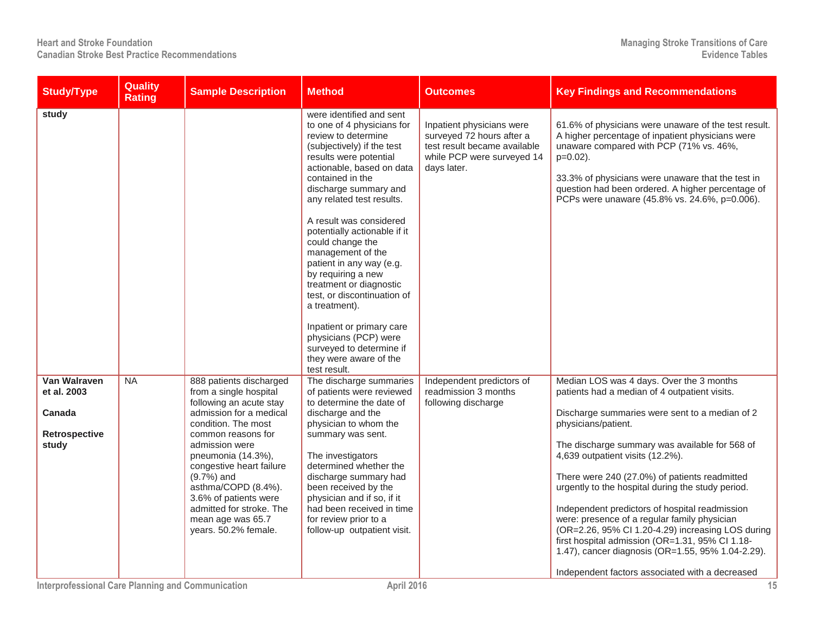| <b>Study/Type</b>                                                      | <b>Quality</b><br><b>Rating</b> | <b>Sample Description</b>                                                                                                                                                                                                                                                                                                                                         | <b>Method</b>                                                                                                                                                                                                                                                                                                                                                                                                                                                                                                                                                                                             | <b>Outcomes</b>                                                                                                                     | <b>Key Findings and Recommendations</b>                                                                                                                                                                                                                                                                                                                                                                                                                                                                                                                                                                                                                                          |
|------------------------------------------------------------------------|---------------------------------|-------------------------------------------------------------------------------------------------------------------------------------------------------------------------------------------------------------------------------------------------------------------------------------------------------------------------------------------------------------------|-----------------------------------------------------------------------------------------------------------------------------------------------------------------------------------------------------------------------------------------------------------------------------------------------------------------------------------------------------------------------------------------------------------------------------------------------------------------------------------------------------------------------------------------------------------------------------------------------------------|-------------------------------------------------------------------------------------------------------------------------------------|----------------------------------------------------------------------------------------------------------------------------------------------------------------------------------------------------------------------------------------------------------------------------------------------------------------------------------------------------------------------------------------------------------------------------------------------------------------------------------------------------------------------------------------------------------------------------------------------------------------------------------------------------------------------------------|
| study                                                                  |                                 |                                                                                                                                                                                                                                                                                                                                                                   | were identified and sent<br>to one of 4 physicians for<br>review to determine<br>(subjectively) if the test<br>results were potential<br>actionable, based on data<br>contained in the<br>discharge summary and<br>any related test results.<br>A result was considered<br>potentially actionable if it<br>could change the<br>management of the<br>patient in any way (e.g.<br>by requiring a new<br>treatment or diagnostic<br>test, or discontinuation of<br>a treatment).<br>Inpatient or primary care<br>physicians (PCP) were<br>surveyed to determine if<br>they were aware of the<br>test result. | Inpatient physicians were<br>surveyed 72 hours after a<br>test result became available<br>while PCP were surveyed 14<br>days later. | 61.6% of physicians were unaware of the test result.<br>A higher percentage of inpatient physicians were<br>unaware compared with PCP (71% vs. 46%,<br>$p=0.02$ ).<br>33.3% of physicians were unaware that the test in<br>question had been ordered. A higher percentage of<br>PCPs were unaware (45.8% vs. 24.6%, p=0.006).                                                                                                                                                                                                                                                                                                                                                    |
| <b>Van Walraven</b><br>et al. 2003<br>Canada<br>Retrospective<br>study | $N_A$                           | 888 patients discharged<br>from a single hospital<br>following an acute stay<br>admission for a medical<br>condition. The most<br>common reasons for<br>admission were<br>pneumonia (14.3%),<br>congestive heart failure<br>$(9.7%)$ and<br>asthma/COPD (8.4%).<br>3.6% of patients were<br>admitted for stroke. The<br>mean age was 65.7<br>years. 50.2% female. | The discharge summaries<br>of patients were reviewed<br>to determine the date of<br>discharge and the<br>physician to whom the<br>summary was sent.<br>The investigators<br>determined whether the<br>discharge summary had<br>been received by the<br>physician and if so, if it<br>had been received in time<br>for review prior to a<br>follow-up outpatient visit.                                                                                                                                                                                                                                    | Independent predictors of<br>readmission 3 months<br>following discharge                                                            | Median LOS was 4 days. Over the 3 months<br>patients had a median of 4 outpatient visits.<br>Discharge summaries were sent to a median of 2<br>physicians/patient.<br>The discharge summary was available for 568 of<br>4,639 outpatient visits (12.2%).<br>There were 240 (27.0%) of patients readmitted<br>urgently to the hospital during the study period.<br>Independent predictors of hospital readmission<br>were: presence of a regular family physician<br>(OR=2.26, 95% Cl 1.20-4.29) increasing LOS during<br>first hospital admission (OR=1.31, 95% CI 1.18-<br>1.47), cancer diagnosis (OR=1.55, 95% 1.04-2.29).<br>Independent factors associated with a decreased |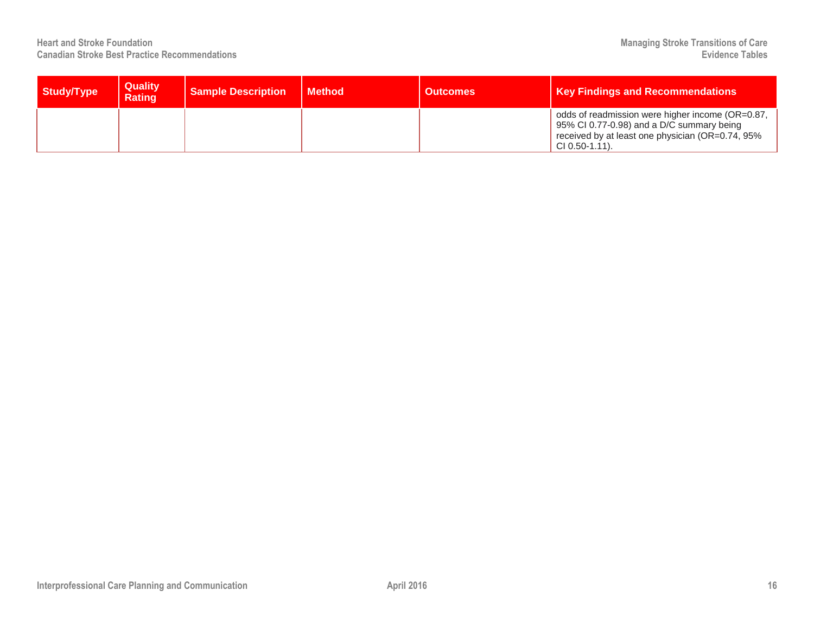| Study/Type | <b>Quality</b><br><b>Rating</b> | <b>Sample Description</b> | <b>Method</b> | <b>Outcomes</b> | <b>Key Findings and Recommendations</b>                                                                                                                                |
|------------|---------------------------------|---------------------------|---------------|-----------------|------------------------------------------------------------------------------------------------------------------------------------------------------------------------|
|            |                                 |                           |               |                 | odds of readmission were higher income (OR=0.87,<br>95% CI 0.77-0.98) and a D/C summary being<br>received by at least one physician (OR=0.74, 95%<br>$CI(0.50-1.11)$ . |